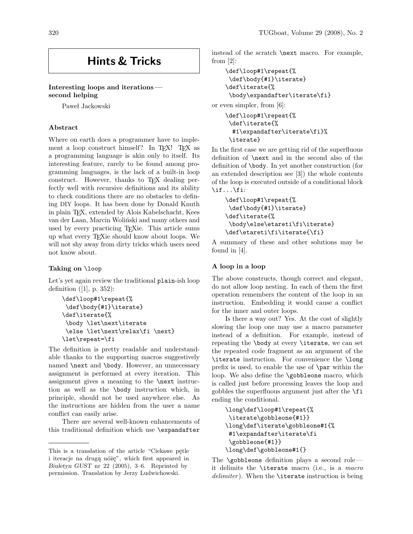# Hints & Tricks

# Interesting loops and iterations second helping

Paweł Jackowski

#### Abstract

Where on earth does a programmer have to implement a loop construct himself? In T<sub>EX</sub>! T<sub>EX</sub> as a programming language is akin only to itself. Its interesting feature, rarely to be found among programming languages, is the lack of a built-in loop construct. However, thanks to T<sub>E</sub>X dealing perfectly well with recursive definitions and its ability to check conditions there are no obstacles to defining DIY loops. It has been done by Donald Knuth in plain TEX, extended by Alois Kabelschacht, Kees van der Laan, Marcin Woliński and many others and used by every practicing T<sub>E</sub>Xie. This article sums up what every TEXie should know about loops. We will not shy away from dirty tricks which users need not know about.

#### Taking on \loop

Let's yet again review the traditional plain-ish loop definition ([1], p. 352):

```
\def\loop#1\repeat{%
\def\body{#1}\iterate}
\def\iterate{%
 \body \let\next\iterate
 \else \let\next\relax\fi \next}
\let\repeat=\fi
```
The definition is pretty readable and understandable thanks to the supporting macros suggestively named \next and \body. However, an unnecessary assignment is performed at every iteration. This assignment gives a meaning to the \next instruction as well as the \body instruction which, in principle, should not be used anywhere else. As the instructions are hidden from the user a name conflict can easily arise.

There are several well-known enhancements of this traditional definition which use \expandafter instead of the scratch \next macro. For example, from [2]:

```
\def\loop#1\repeat{%
\def\body{#1}\iterate}
\def\iterate{%
\body\expandafter\iterate\fi}
```
or even simpler, from [6]:

```
\def\loop#1\repeat{%
\def\iterate{%
  #1\expandafter\iterate\fi}%
\iterate}
```
In the first case we are getting rid of the superfluous definition of \next and in the second also of the definition of \body. In yet another construction (for an extended description see [3]) the whole contents of the loop is executed outside of a conditional block \if...\fi:

```
\def\loop#1\repeat{%
\def\body{#1}\iterate}
\def\iterate{%
\body\else\etareti\fi\iterate}
\def\etareti\fi\iterate{\fi}
```
A summary of these and other solutions may be found in [4].

#### A loop in a loop

The above constructs, though correct and elegant, do not allow loop nesting. In each of them the first operation remembers the content of the loop in an instruction. Embedding it would cause a conflict for the inner and outer loops.

Is there a way out? Yes. At the cost of slightly slowing the loop one may use a macro parameter instead of a definition. For example, instead of repeating the \body at every \iterate, we can set the repeated code fragment as an argument of the \iterate instruction. For convenience the \long prefix is used, to enable the use of \par within the loop. We also define the **\gobbleone** macro, which is called just before processing leaves the loop and gobbles the superfluous argument just after the \fi ending the conditional.

```
\long\def\loop#1\repeat{%
\iterate\gobbleone{#1}}
\long\def\iterate\gobbleone#1{%
#1\expandafter\iterate\fi
\gobbleone{#1}}
\long\def\gobbleone#1{}
```
The  $\qquad$ gobbleone definition plays a second role it delimits the \iterate macro (i.e., is a macro  $delimiter)$ . When the **\iterate** instruction is being

This is a translation of the article "Ciekawe pętle i iteracje na drugą nóżę", which first appeared in Biuletyn GUST nr 22 (2005), 3–6. Reprinted by permission. Translation by Jerzy Ludwichowski.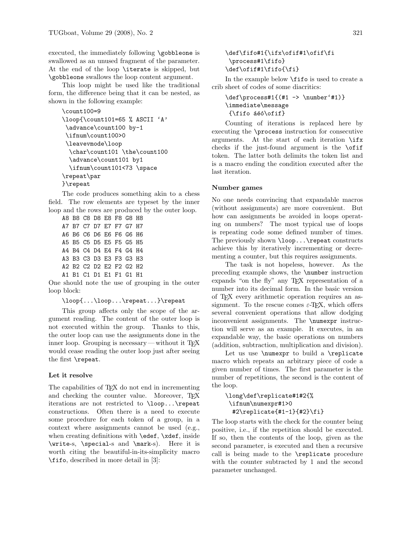executed, the immediately following \gobbleone is swallowed as an unused fragment of the parameter. At the end of the loop \iterate is skipped, but \gobbleone swallows the loop content argument.

This loop might be used like the traditional form, the difference being that it can be nested, as shown in the following example:

```
\count100=9
\loop{\count101=65 % ASCII 'A'
 \advance\count100 by-1
 \ifnum\count100>0
 \leavevmode\loop
  \char\count101 \the\count100
  \advance\count101 by1
  \ifnum\count101<73 \space
\repeat\par
}\repeat
```
The code produces something akin to a chess field. The row elements are typeset by the inner loop and the rows are produced by the outer loop.

A8 B8 C8 D8 E8 F8 G8 H8 A7 B7 C7 D7 E7 F7 G7 H7 A6 B6 C6 D6 E6 F6 G6 H6 A5 B5 C5 D5 E5 F5 G5 H5 A4 B4 C4 D4 E4 F4 G4 H4 A3 B3 C3 D3 E3 F3 G3 H3 A2 B2 C2 D2 E2 F2 G2 H2 A1 B1 C1 D1 E1 F1 G1 H1

One should note the use of grouping in the outer loop block:

\loop{...\loop...\repeat...}\repeat

This group affects only the scope of the argument reading. The content of the outer loop is not executed within the group. Thanks to this, the outer loop can use the assignments done in the inner loop. Grouping is necessary—without it  $TFX$ would cease reading the outer loop just after seeing the first \repeat.

#### Let it resolve

The capabilities of T<sub>EX</sub> do not end in incrementing and checking the counter value. Moreover, TFX iterations are not restricted to \loop...\repeat constructions. Often there is a need to execute some procedure for each token of a group, in a context where assignments cannot be used (e.g., when creating definitions with **\edef**, **\xdef**, inside \write-s, \special-s and \mark-s). Here it is worth citing the beautiful-in-its-simplicity macro \fifo, described in more detail in [3]:

## \def\fifo#1{\ifx\ofif#1\ofif\fi \process#1\fifo} \def\ofif#1\fifo{\fi}

In the example below \fifo is used to create a crib sheet of codes of some diacritics:

```
\def\process#1{(#1 -> \number'#1)}
\immediate\message
{\text{ifo \acute{a}}\acute{e}of}
```
Counting of iterations is replaced here by executing the \process instruction for consecutive arguments. At the start of each iteration \ifx checks if the just-found argument is the \ofif token. The latter both delimits the token list and is a macro ending the condition executed after the last iteration.

#### Number games

No one needs convincing that expandable macros (without assignments) are more convenient. But how can assignments be avoided in loops operating on numbers? The most typical use of loops is repeating code some defined number of times. The previously shown \loop...\repeat constructs achieve this by iteratively incrementing or decrementing a counter, but this requires assignments.

The task is not hopeless, however. As the preceding example shows, the \number instruction expands "on the fly" any TEX representation of a number into its decimal form. In the basic version of TEX every arithmetic operation requires an assignment. To the rescue comes  $\varepsilon$ -T<sub>F</sub>X, which offers several convenient operations that allow dodging inconvenient assignments. The \numexpr instruction will serve as an example. It executes, in an expandable way, the basic operations on numbers (addition, subtraction, multiplication and division).

Let us use \numexpr to build a \replicate macro which repeats an arbitrary piece of code a given number of times. The first parameter is the number of repetitions, the second is the content of the loop.

```
\long\def\replicate#1#2{%
\ifnum\numexpr#1>0
 #2\replicate{#1-1}{#2}\fi}
```
The loop starts with the check for the counter being positive, i.e., if the repetition should be executed. If so, then the contents of the loop, given as the second parameter, is executed and then a recursive call is being made to the \replicate procedure with the counter subtracted by 1 and the second parameter unchanged.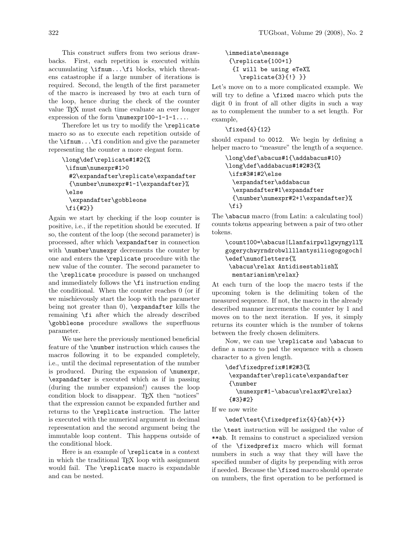This construct suffers from two serious drawbacks. First, each repetition is executed within accumulating \ifnum...\fi blocks, which threatens catastrophe if a large number of iterations is required. Second, the length of the first parameter of the macro is increased by two at each turn of the loop, hence during the check of the counter value TEX must each time evaluate an ever longer expression of the form \numexpr100-1-1-1...

Therefore let us try to modify the \replicate macro so as to execute each repetition outside of the  $\iota$  if num... $\iota$  is condition and give the parameter representing the counter a more elegant form.

```
\long\def\replicate#1#2{%
 \ifnum\numexpr#1>0
  #2\expandafter\replicate\expandafter
  {\number\numexpr#1-1\expandafter}%
 \else
  \expandafter\gobbleone
 \fi{#2}}
```
Again we start by checking if the loop counter is positive, i.e., if the repetition should be executed. If so, the content of the loop (the second parameter) is processed, after which \expandafter in connection with \number\numexpr decrements the counter by one and enters the \replicate procedure with the new value of the counter. The second parameter to the \replicate procedure is passed on unchanged and immediately follows the \fi instruction ending the conditional. When the counter reaches 0 (or if we mischievously start the loop with the parameter being not greater than 0), \expandafter kills the remaining \fi after which the already described \gobbleone procedure swallows the superfluous parameter.

We use here the previously mentioned beneficial feature of the \number instruction which causes the macros following it to be expanded completely, i.e., until the decimal representation of the number is produced. During the expansion of \numexpr, \expandafter is executed which as if in passing (during the number expansion!) causes the loop condition block to disappear. TEX then "notices" that the expression cannot be expanded further and returns to the \replicate instruction. The latter is executed with the numerical argument in decimal representation and the second argument being the immutable loop content. This happens outside of the conditional block.

Here is an example of \replicate in a context in which the traditional TEX loop with assignment would fail. The **\replicate** macro is expandable and can be nested.

```
\immediate\message
{\replicate{100+1}
 {I will be using eTeX%
    \replicate{3}{!} }}
```
Let's move on to a more complicated example. We will try to define a \fixed macro which puts the digit 0 in front of all other digits in such a way as to complement the number to a set length. For example,

```
\fixed{4}{12}
```
should expand to 0012. We begin by defining a helper macro to "measure" the length of a sequence.

```
\long\def\abacus#1{\addabacus#10}
\long\def\addabacus#1#2#3{%
\ifx#3#1#2\else
 \expandafter\addabacus
  \expandafter#1\expandafter
 {\number\numexpr#2+1\expandafter}%
\fi}
```
The \abacus macro (from Latin: a calculating tool) counts tokens appearing between a pair of two other tokens.

```
\count100=\abacus|Llanfairpwllgwyngyll%
gogerychwyrndrobwllllantysiliogogogoch|
\edef\numofletters{%
 \abacus\relax Antidisestablish%
 mentarianism\relax}
```
At each turn of the loop the macro tests if the upcoming token is the delimiting token of the measured sequence. If not, the macro in the already described manner increments the counter by 1 and moves on to the next iteration. If yes, it simply returns its counter which is the number of tokens between the freely chosen delimiters.

Now, we can use \replicate and \abacus to define a macro to pad the sequence with a chosen character to a given length.

```
\def\fixedprefix#1#2#3{%
\expandafter\replicate\expandafter
{\number
   \numexpr#1-\abacus\relax#2\relax}
{#3}#2}
```
If we now write

```
\edef\test{\fixedprefix{4}{ab}{*}}
```
the \test instruction will be assigned the value of \*\*ab. It remains to construct a specialized version of the \fixedprefix macro which will format numbers in such a way that they will have the specified number of digits by prepending with zeros if needed. Because the \fixed macro should operate on numbers, the first operation to be performed is